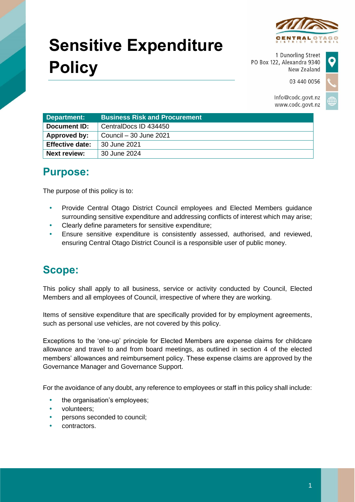

03 440 0056

# **Sensitive Expenditure Policy**

1 Dunorling Street PO Box 122, Alexandra 9340 New Zealand



Info@codc.govt.nz www.codc.govt.nz

| Department:            | <b>Business Risk and Procurement</b> |
|------------------------|--------------------------------------|
| <b>Document ID:</b>    | CentralDocs ID 434450                |
| Approved by:           | Council – 30 June 2021               |
| <b>Effective date:</b> | 30 June 2021                         |
| Next review:           | 30 June 2024                         |

# **Purpose:**

The purpose of this policy is to:

- Provide Central Otago District Council employees and Elected Members guidance surrounding sensitive expenditure and addressing conflicts of interest which may arise;
- Clearly define parameters for sensitive expenditure;
- Ensure sensitive expenditure is consistently assessed, authorised, and reviewed, ensuring Central Otago District Council is a responsible user of public money.

# **Scope:**

This policy shall apply to all business, service or activity conducted by Council, Elected Members and all employees of Council, irrespective of where they are working.

Items of sensitive expenditure that are specifically provided for by employment agreements, such as personal use vehicles, are not covered by this policy.

Exceptions to the 'one-up' principle for Elected Members are expense claims for childcare allowance and travel to and from board meetings, as outlined in section 4 of the elected members' allowances and reimbursement policy. These expense claims are approved by the Governance Manager and Governance Support.

For the avoidance of any doubt, any reference to employees or staff in this policy shall include:

- the organisation's employees;
- volunteers;
- persons seconded to council;
- contractors.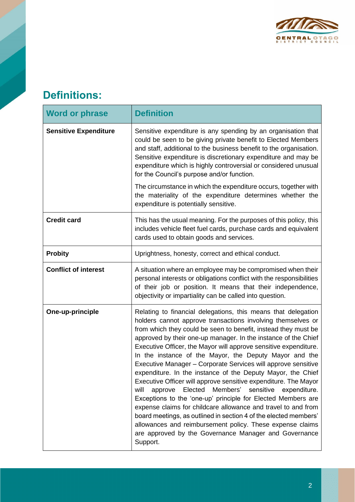

# **Definitions:**

| <b>Word or phrase</b>        | <b>Definition</b>                                                                                                                                                                                                                                                                                                                                                                                                                                                                                                                                                                                                                                                                                                                                                                                                                                                                                                                                                                                         |
|------------------------------|-----------------------------------------------------------------------------------------------------------------------------------------------------------------------------------------------------------------------------------------------------------------------------------------------------------------------------------------------------------------------------------------------------------------------------------------------------------------------------------------------------------------------------------------------------------------------------------------------------------------------------------------------------------------------------------------------------------------------------------------------------------------------------------------------------------------------------------------------------------------------------------------------------------------------------------------------------------------------------------------------------------|
| <b>Sensitive Expenditure</b> | Sensitive expenditure is any spending by an organisation that<br>could be seen to be giving private benefit to Elected Members<br>and staff, additional to the business benefit to the organisation.<br>Sensitive expenditure is discretionary expenditure and may be<br>expenditure which is highly controversial or considered unusual<br>for the Council's purpose and/or function.<br>The circumstance in which the expenditure occurs, together with<br>the materiality of the expenditure determines whether the<br>expenditure is potentially sensitive.                                                                                                                                                                                                                                                                                                                                                                                                                                           |
| <b>Credit card</b>           | This has the usual meaning. For the purposes of this policy, this<br>includes vehicle fleet fuel cards, purchase cards and equivalent<br>cards used to obtain goods and services.                                                                                                                                                                                                                                                                                                                                                                                                                                                                                                                                                                                                                                                                                                                                                                                                                         |
| <b>Probity</b>               | Uprightness, honesty, correct and ethical conduct.                                                                                                                                                                                                                                                                                                                                                                                                                                                                                                                                                                                                                                                                                                                                                                                                                                                                                                                                                        |
| <b>Conflict of interest</b>  | A situation where an employee may be compromised when their<br>personal interests or obligations conflict with the responsibilities<br>of their job or position. It means that their independence,<br>objectivity or impartiality can be called into question.                                                                                                                                                                                                                                                                                                                                                                                                                                                                                                                                                                                                                                                                                                                                            |
| One-up-principle             | Relating to financial delegations, this means that delegation<br>holders cannot approve transactions involving themselves or<br>from which they could be seen to benefit, instead they must be<br>approved by their one-up manager. In the instance of the Chief<br>Executive Officer, the Mayor will approve sensitive expenditure.<br>In the instance of the Mayor, the Deputy Mayor and the<br>Executive Manager - Corporate Services will approve sensitive<br>expenditure. In the instance of the Deputy Mayor, the Chief<br>Executive Officer will approve sensitive expenditure. The Mayor<br>approve Elected<br>Members' sensitive<br>expenditure.<br>will<br>Exceptions to the 'one-up' principle for Elected Members are<br>expense claims for childcare allowance and travel to and from<br>board meetings, as outlined in section 4 of the elected members'<br>allowances and reimbursement policy. These expense claims<br>are approved by the Governance Manager and Governance<br>Support. |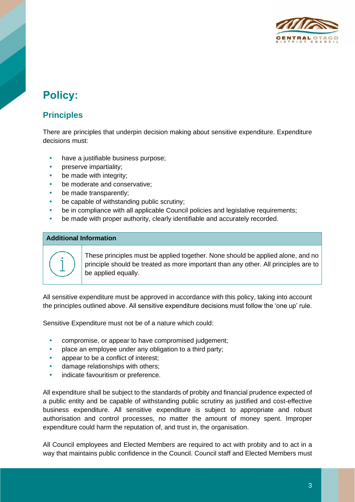

# **Policy:**

### **Principles**

There are principles that underpin decision making about sensitive expenditure. Expenditure decisions must:

- have a justifiable business purpose;
- preserve impartiality;
- be made with integrity;
- be moderate and conservative;
- be made transparently;
- be capable of withstanding public scrutiny;
- be in compliance with all applicable Council policies and legislative requirements;
- be made with proper authority, clearly identifiable and accurately recorded.

#### **Additional Information**



These principles must be applied together. None should be applied alone, and no principle should be treated as more important than any other. All principles are to be applied equally.

All sensitive expenditure must be approved in accordance with this policy, taking into account the principles outlined above. All sensitive expenditure decisions must follow the 'one up' rule.

Sensitive Expenditure must not be of a nature which could:

- compromise, or appear to have compromised judgement;
- place an employee under any obligation to a third party;
- appear to be a conflict of interest;
- damage relationships with others;
- indicate favouritism or preference.

All expenditure shall be subject to the standards of probity and financial prudence expected of a public entity and be capable of withstanding public scrutiny as justified and cost-effective business expenditure. All sensitive expenditure is subject to appropriate and robust authorisation and control processes, no matter the amount of money spent. Improper expenditure could harm the reputation of, and trust in, the organisation.

All Council employees and Elected Members are required to act with probity and to act in a way that maintains public confidence in the Council. Council staff and Elected Members must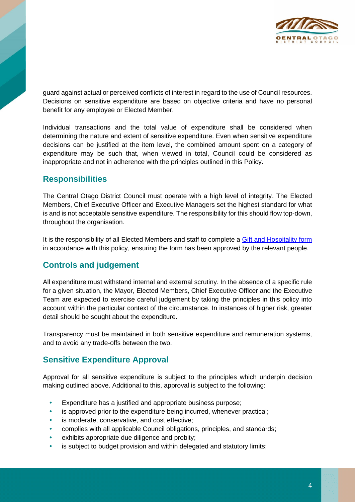

guard against actual or perceived conflicts of interest in regard to the use of Council resources. Decisions on sensitive expenditure are based on objective criteria and have no personal benefit for any employee or Elected Member.

Individual transactions and the total value of expenditure shall be considered when determining the nature and extent of sensitive expenditure. Even when sensitive expenditure decisions can be justified at the item level, the combined amount spent on a category of expenditure may be such that, when viewed in total, Council could be considered as inappropriate and not in adherence with the principles outlined in this Policy.

### **Responsibilities**

The Central Otago District Council must operate with a high level of integrity. The Elected Members, Chief Executive Officer and Executive Managers set the highest standard for what is and is not acceptable sensitive expenditure. The responsibility for this should flow top-down, throughout the organisation.

It is the responsibility of all Elected Members and staff to complete a [Gift and Hospitality form](https://cdocs.codc.govt.nz/docs/~D507220?Login=True) in accordance with this policy, ensuring the form has been approved by the relevant people.

### **Controls and judgement**

All expenditure must withstand internal and external scrutiny. In the absence of a specific rule for a given situation, the Mayor, Elected Members, Chief Executive Officer and the Executive Team are expected to exercise careful judgement by taking the principles in this policy into account within the particular context of the circumstance. In instances of higher risk, greater detail should be sought about the expenditure.

Transparency must be maintained in both sensitive expenditure and remuneration systems, and to avoid any trade-offs between the two.

### **Sensitive Expenditure Approval**

Approval for all sensitive expenditure is subject to the principles which underpin decision making outlined above. Additional to this, approval is subject to the following:

- Expenditure has a justified and appropriate business purpose;
- is approved prior to the expenditure being incurred, whenever practical;
- is moderate, conservative, and cost effective;
- complies with all applicable Council obligations, principles, and standards;
- exhibits appropriate due diligence and probity;
- is subject to budget provision and within delegated and statutory limits;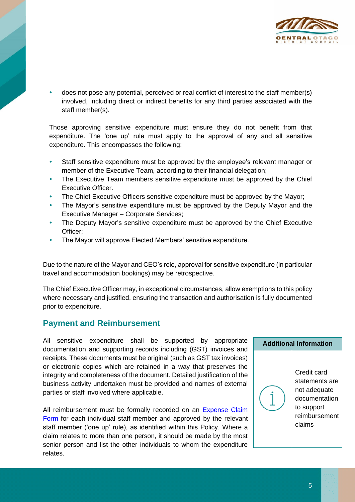

 does not pose any potential, perceived or real conflict of interest to the staff member(s) involved, including direct or indirect benefits for any third parties associated with the staff member(s).

Those approving sensitive expenditure must ensure they do not benefit from that expenditure. The 'one up' rule must apply to the approval of any and all sensitive expenditure. This encompasses the following:

- Staff sensitive expenditure must be approved by the employee's relevant manager or member of the Executive Team, according to their financial delegation;
- The Executive Team members sensitive expenditure must be approved by the Chief Executive Officer.
- The Chief Executive Officers sensitive expenditure must be approved by the Mayor;
- The Mayor's sensitive expenditure must be approved by the Deputy Mayor and the Executive Manager – Corporate Services;
- The Deputy Mayor's sensitive expenditure must be approved by the Chief Executive Officer;
- The Mayor will approve Elected Members' sensitive expenditure.

Due to the nature of the Mayor and CEO's role, approval for sensitive expenditure (in particular travel and accommodation bookings) may be retrospective.

The Chief Executive Officer may, in exceptional circumstances, allow exemptions to this policy where necessary and justified, ensuring the transaction and authorisation is fully documented prior to expenditure.

#### **Payment and Reimbursement**

All sensitive expenditure shall be supported by appropriate documentation and supporting records including (GST) invoices and receipts. These documents must be original (such as GST tax invoices) or electronic copies which are retained in a way that preserves the integrity and completeness of the document. Detailed justification of the business activity undertaken must be provided and names of external parties or staff involved where applicable.

All reimbursement must be formally recorded on an Expense Claim [Form](https://cdocs.codc.govt.nz/docs/~D362623?Login=True) for each individual staff member and approved by the relevant staff member ('one up' rule), as identified within this Policy. Where a claim relates to more than one person, it should be made by the most senior person and list the other individuals to whom the expenditure relates.

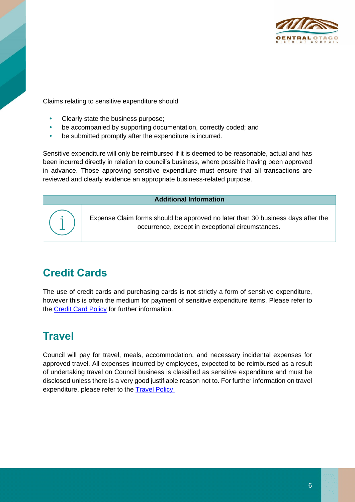

Claims relating to sensitive expenditure should:

- Clearly state the business purpose;
- be accompanied by supporting documentation, correctly coded; and
- be submitted promptly after the expenditure is incurred.

Sensitive expenditure will only be reimbursed if it is deemed to be reasonable, actual and has been incurred directly in relation to council's business, where possible having been approved in advance. Those approving sensitive expenditure must ensure that all transactions are reviewed and clearly evidence an appropriate business-related purpose.

#### **Additional Information**

Expense Claim forms should be approved no later than 30 business days after the occurrence, except in exceptional circumstances.

# **Credit Cards**

The use of credit cards and purchasing cards is not strictly a form of sensitive expenditure, however this is often the medium for payment of sensitive expenditure items. Please refer to the [Credit Card](https://cdocs.codc.govt.nz/docs/~S?DocumentId=529802&Login=True) Policy for further information.

# **Travel**

Council will pay for travel, meals, accommodation, and necessary incidental expenses for approved travel. All expenses incurred by employees, expected to be reimbursed as a result of undertaking travel on Council business is classified as sensitive expenditure and must be disclosed unless there is a very good justifiable reason not to. For further information on travel expenditure, please refer to the [Travel Policy.](https://cdocs.codc.govt.nz/docs/~S?DocumentId=530441&Login=True)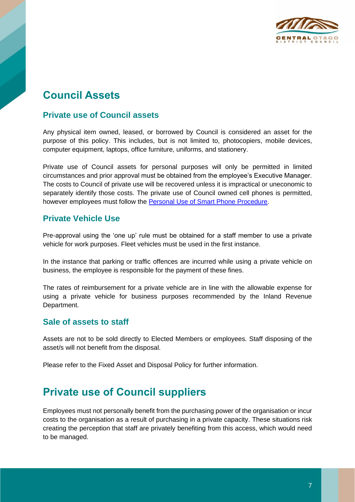

# **Council Assets**

### **Private use of Council assets**

Any physical item owned, leased, or borrowed by Council is considered an asset for the purpose of this policy. This includes, but is not limited to, photocopiers, mobile devices, computer equipment, laptops, office furniture, uniforms, and stationery.

Private use of Council assets for personal purposes will only be permitted in limited circumstances and prior approval must be obtained from the employee's Executive Manager. The costs to Council of private use will be recovered unless it is impractical or uneconomic to separately identify those costs. The private use of Council owned cell phones is permitted, however employees must follow the [Personal Use of Smart Phone Procedure.](https://cdocs.codc.govt.nz/docs/~D427000?Login=True)

#### **Private Vehicle Use**

Pre-approval using the 'one up' rule must be obtained for a staff member to use a private vehicle for work purposes. Fleet vehicles must be used in the first instance.

In the instance that parking or traffic offences are incurred while using a private vehicle on business, the employee is responsible for the payment of these fines.

The rates of reimbursement for a private vehicle are in line with the allowable expense for using a private vehicle for business purposes recommended by the Inland Revenue Department.

#### **Sale of assets to staff**

Assets are not to be sold directly to Elected Members or employees. Staff disposing of the asset/s will not benefit from the disposal.

Please refer to the Fixed Asset and Disposal Policy for further information.

## **Private use of Council suppliers**

Employees must not personally benefit from the purchasing power of the organisation or incur costs to the organisation as a result of purchasing in a private capacity. These situations risk creating the perception that staff are privately benefiting from this access, which would need to be managed.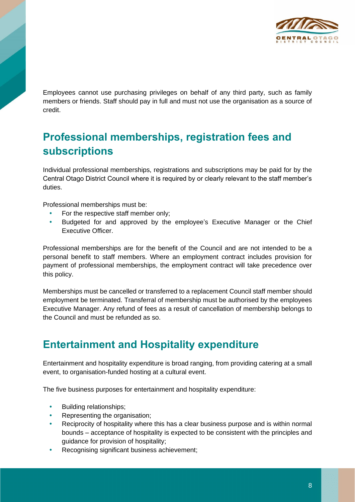

Employees cannot use purchasing privileges on behalf of any third party, such as family members or friends. Staff should pay in full and must not use the organisation as a source of credit.

# **Professional memberships, registration fees and subscriptions**

Individual professional memberships, registrations and subscriptions may be paid for by the Central Otago District Council where it is required by or clearly relevant to the staff member's duties.

Professional memberships must be:

- For the respective staff member only:
- Budgeted for and approved by the employee's Executive Manager or the Chief Executive Officer.

Professional memberships are for the benefit of the Council and are not intended to be a personal benefit to staff members. Where an employment contract includes provision for payment of professional memberships, the employment contract will take precedence over this policy.

Memberships must be cancelled or transferred to a replacement Council staff member should employment be terminated. Transferral of membership must be authorised by the employees Executive Manager. Any refund of fees as a result of cancellation of membership belongs to the Council and must be refunded as so.

# **Entertainment and Hospitality expenditure**

Entertainment and hospitality expenditure is broad ranging, from providing catering at a small event, to organisation-funded hosting at a cultural event.

The five business purposes for entertainment and hospitality expenditure:

- Building relationships;
- Representing the organisation;
- Reciprocity of hospitality where this has a clear business purpose and is within normal bounds – acceptance of hospitality is expected to be consistent with the principles and guidance for provision of hospitality;
- Recognising significant business achievement;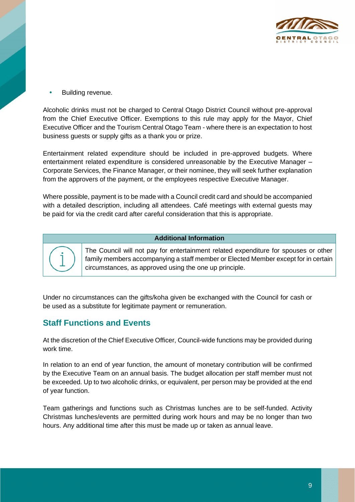

Building revenue.

Alcoholic drinks must not be charged to Central Otago District Council without pre-approval from the Chief Executive Officer. Exemptions to this rule may apply for the Mayor, Chief Executive Officer and the Tourism Central Otago Team - where there is an expectation to host business guests or supply gifts as a thank you or prize.

Entertainment related expenditure should be included in pre-approved budgets. Where entertainment related expenditure is considered unreasonable by the Executive Manager – Corporate Services, the Finance Manager, or their nominee, they will seek further explanation from the approvers of the payment, or the employees respective Executive Manager.

Where possible, payment is to be made with a Council credit card and should be accompanied with a detailed description, including all attendees. Café meetings with external guests may be paid for via the credit card after careful consideration that this is appropriate.

#### **Additional Information**

The Council will not pay for entertainment related expenditure for spouses or other family members accompanying a staff member or Elected Member except for in certain circumstances, as approved using the one up principle.

Under no circumstances can the gifts/koha given be exchanged with the Council for cash or be used as a substitute for legitimate payment or remuneration.

#### **Staff Functions and Events**

At the discretion of the Chief Executive Officer, Council-wide functions may be provided during work time.

In relation to an end of year function, the amount of monetary contribution will be confirmed by the Executive Team on an annual basis. The budget allocation per staff member must not be exceeded. Up to two alcoholic drinks, or equivalent, per person may be provided at the end of year function.

Team gatherings and functions such as Christmas lunches are to be self-funded. Activity Christmas lunches/events are permitted during work hours and may be no longer than two hours. Any additional time after this must be made up or taken as annual leave.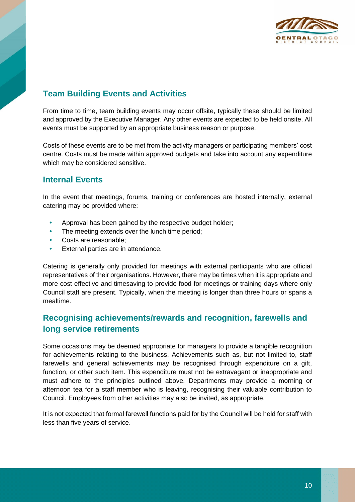

### **Team Building Events and Activities**

From time to time, team building events may occur offsite, typically these should be limited and approved by the Executive Manager. Any other events are expected to be held onsite. All events must be supported by an appropriate business reason or purpose.

Costs of these events are to be met from the activity managers or participating members' cost centre. Costs must be made within approved budgets and take into account any expenditure which may be considered sensitive.

#### **Internal Events**

In the event that meetings, forums, training or conferences are hosted internally, external catering may be provided where:

- Approval has been gained by the respective budget holder;
- The meeting extends over the lunch time period;
- Costs are reasonable;
- External parties are in attendance.

Catering is generally only provided for meetings with external participants who are official representatives of their organisations. However, there may be times when it is appropriate and more cost effective and timesaving to provide food for meetings or training days where only Council staff are present. Typically, when the meeting is longer than three hours or spans a mealtime.

### **Recognising achievements/rewards and recognition, farewells and long service retirements**

Some occasions may be deemed appropriate for managers to provide a tangible recognition for achievements relating to the business. Achievements such as, but not limited to, staff farewells and general achievements may be recognised through expenditure on a gift, function, or other such item. This expenditure must not be extravagant or inappropriate and must adhere to the principles outlined above. Departments may provide a morning or afternoon tea for a staff member who is leaving, recognising their valuable contribution to Council. Employees from other activities may also be invited, as appropriate.

It is not expected that formal farewell functions paid for by the Council will be held for staff with less than five years of service.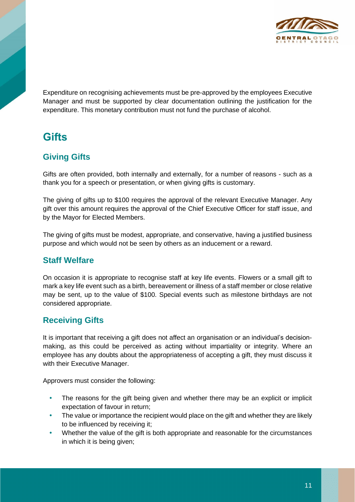

Expenditure on recognising achievements must be pre-approved by the employees Executive Manager and must be supported by clear documentation outlining the justification for the expenditure. This monetary contribution must not fund the purchase of alcohol.

# **Gifts**

### **Giving Gifts**

Gifts are often provided, both internally and externally, for a number of reasons - such as a thank you for a speech or presentation, or when giving gifts is customary.

The giving of gifts up to \$100 requires the approval of the relevant Executive Manager. Any gift over this amount requires the approval of the Chief Executive Officer for staff issue, and by the Mayor for Elected Members.

The giving of gifts must be modest, appropriate, and conservative, having a justified business purpose and which would not be seen by others as an inducement or a reward.

### **Staff Welfare**

On occasion it is appropriate to recognise staff at key life events. Flowers or a small gift to mark a key life event such as a birth, bereavement or illness of a staff member or close relative may be sent, up to the value of \$100. Special events such as milestone birthdays are not considered appropriate.

### **Receiving Gifts**

It is important that receiving a gift does not affect an organisation or an individual's decisionmaking, as this could be perceived as acting without impartiality or integrity. Where an employee has any doubts about the appropriateness of accepting a gift, they must discuss it with their Executive Manager.

Approvers must consider the following:

- The reasons for the gift being given and whether there may be an explicit or implicit expectation of favour in return;
- The value or importance the recipient would place on the gift and whether they are likely to be influenced by receiving it;
- Whether the value of the gift is both appropriate and reasonable for the circumstances in which it is being given;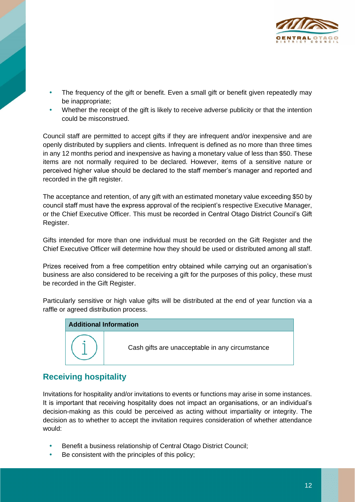

- The frequency of the gift or benefit. Even a small gift or benefit given repeatedly may be inappropriate;
- Whether the receipt of the gift is likely to receive adverse publicity or that the intention could be misconstrued.

Council staff are permitted to accept gifts if they are infrequent and/or inexpensive and are openly distributed by suppliers and clients. Infrequent is defined as no more than three times in any 12 months period and inexpensive as having a monetary value of less than \$50. These items are not normally required to be declared. However, items of a sensitive nature or perceived higher value should be declared to the staff member's manager and reported and recorded in the gift register.

The acceptance and retention, of any gift with an estimated monetary value exceeding \$50 by council staff must have the express approval of the recipient's respective Executive Manager, or the Chief Executive Officer. This must be recorded in Central Otago District Council's Gift Register.

Gifts intended for more than one individual must be recorded on the Gift Register and the Chief Executive Officer will determine how they should be used or distributed among all staff.

Prizes received from a free competition entry obtained while carrying out an organisation's business are also considered to be receiving a gift for the purposes of this policy, these must be recorded in the Gift Register.

Particularly sensitive or high value gifts will be distributed at the end of year function via a raffle or agreed distribution process.

| <b>Additional Information</b> |                                                 |
|-------------------------------|-------------------------------------------------|
|                               | Cash gifts are unacceptable in any circumstance |

### **Receiving hospitality**

Invitations for hospitality and/or invitations to events or functions may arise in some instances. It is important that receiving hospitality does not impact an organisations, or an individual's decision-making as this could be perceived as acting without impartiality or integrity. The decision as to whether to accept the invitation requires consideration of whether attendance would:

- Benefit a business relationship of Central Otago District Council;
- Be consistent with the principles of this policy;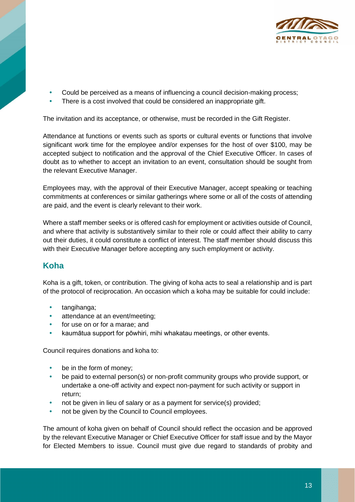

- Could be perceived as a means of influencing a council decision-making process;
- There is a cost involved that could be considered an inappropriate gift.

The invitation and its acceptance, or otherwise, must be recorded in the Gift Register.

Attendance at functions or events such as sports or cultural events or functions that involve significant work time for the employee and/or expenses for the host of over \$100, may be accepted subject to notification and the approval of the Chief Executive Officer. In cases of doubt as to whether to accept an invitation to an event, consultation should be sought from the relevant Executive Manager.

Employees may, with the approval of their Executive Manager, accept speaking or teaching commitments at conferences or similar gatherings where some or all of the costs of attending are paid, and the event is clearly relevant to their work.

Where a staff member seeks or is offered cash for employment or activities outside of Council, and where that activity is substantively similar to their role or could affect their ability to carry out their duties, it could constitute a conflict of interest. The staff member should discuss this with their Executive Manager before accepting any such employment or activity.

#### **Koha**

Koha is a gift, token, or contribution. The giving of koha acts to seal a relationship and is part of the protocol of reciprocation. An occasion which a koha may be suitable for could include:

- tangihanga;
- attendance at an event/meeting;
- for use on or for a marae; and
- kaumātua support for pōwhiri, mihi whakatau meetings, or other events.

Council requires donations and koha to:

- be in the form of money;
- be paid to external person(s) or non-profit community groups who provide support, or undertake a one-off activity and expect non-payment for such activity or support in return;
- not be given in lieu of salary or as a payment for service(s) provided;
- not be given by the Council to Council employees.

The amount of koha given on behalf of Council should reflect the occasion and be approved by the relevant Executive Manager or Chief Executive Officer for staff issue and by the Mayor for Elected Members to issue. Council must give due regard to standards of probity and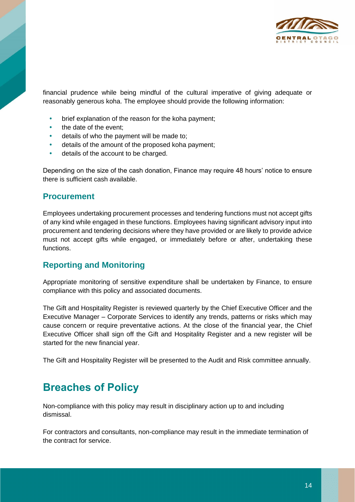

financial prudence while being mindful of the cultural imperative of giving adequate or reasonably generous koha. The employee should provide the following information:

- brief explanation of the reason for the koha payment;
- the date of the event;
- details of who the payment will be made to;
- details of the amount of the proposed koha payment;
- details of the account to be charged.

Depending on the size of the cash donation, Finance may require 48 hours' notice to ensure there is sufficient cash available.

#### **Procurement**

Employees undertaking procurement processes and tendering functions must not accept gifts of any kind while engaged in these functions. Employees having significant advisory input into procurement and tendering decisions where they have provided or are likely to provide advice must not accept gifts while engaged, or immediately before or after, undertaking these functions.

#### **Reporting and Monitoring**

Appropriate monitoring of sensitive expenditure shall be undertaken by Finance, to ensure compliance with this policy and associated documents.

The Gift and Hospitality Register is reviewed quarterly by the Chief Executive Officer and the Executive Manager – Corporate Services to identify any trends, patterns or risks which may cause concern or require preventative actions. At the close of the financial year, the Chief Executive Officer shall sign off the Gift and Hospitality Register and a new register will be started for the new financial year.

The Gift and Hospitality Register will be presented to the Audit and Risk committee annually.

# **Breaches of Policy**

Non-compliance with this policy may result in disciplinary action up to and including dismissal.

For contractors and consultants, non-compliance may result in the immediate termination of the contract for service.